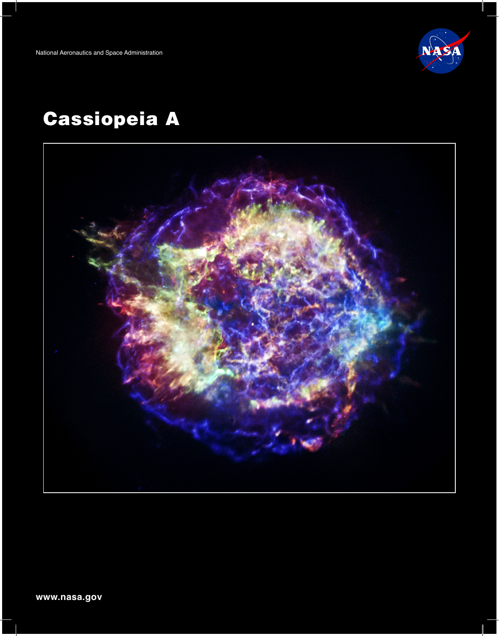

# Cassiopeia A